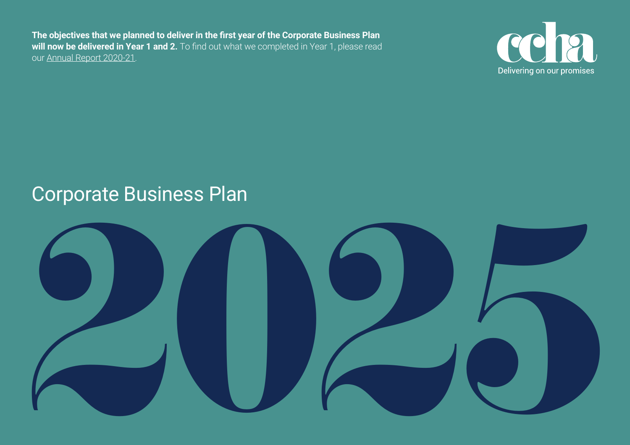**The objectives that we planned to deliver in the first year of the Corporate Business Plan**  will now be delivered in Year 1 and 2. To find out what we completed in Year 1, please read our [Annual Report 2020-21](https://ccha.max-mediagroup.co.uk/report21/ccha-annual-report-202021/).



## Corporate Business Plan

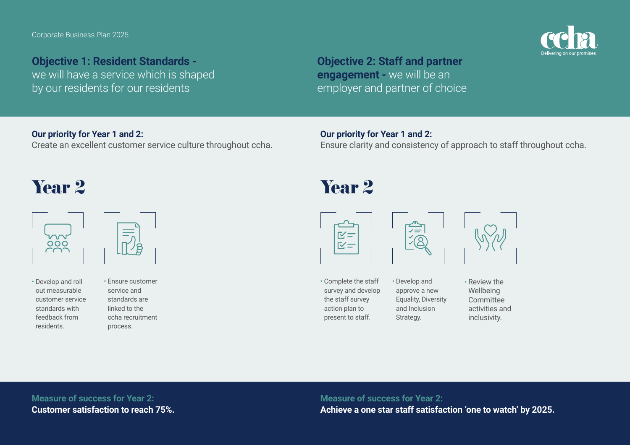

## **Objective 1: Resident Standards -**

we will have a service which is shaped by our residents for our residents

**Objective 2: Staff and partner engagement -** we will be an employer and partner of choice

## **Our priority for Year 1 and 2:**

Create an excellent customer service culture throughout ccha.

### **Our priority for Year 1 and 2:**

Ensure clarity and consistency of approach to staff throughout ccha.





• Develop and roll out measurable customer service standards with feedback from residents.

• Ensure customer service and standards are linked to the ccha recruitment

process.

## Year 2 Year 2



• Complete the staff survey and develop the staff survey action plan to present to staff.



• Develop and approve a new Equality, Diversity and Inclusion Strategy.



**Measure of success for Year 2: Customer satisfaction to reach 75%.** **Measure of success for Year 2: Achieve a one star staff satisfaction 'one to watch' by 2025.**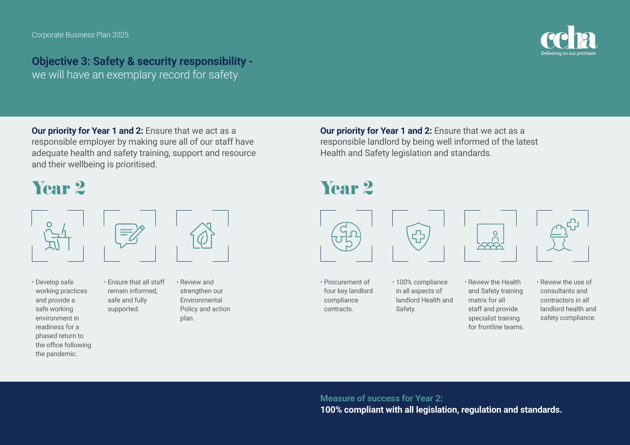**Objective 3: Safety & security responsibility**  we will have an exemplary record for safety

**Our priority for Year 1 and 2:** Ensure that we act as a responsible employer by making sure all of our staff have adequate health and safety training, support and resource and their wellbeing is prioritised.

> • Ensure that all staff remain informed, safe and fully supported.

# Year 2 Year 2



• Develop safe working practices and provide a safe working environment in readiness for a phased return to the office following the pandemic.

• Review and strengthen our Environmental Policy and action plan.

**Our priority for Year 1 and 2: Ensure that we act as a** responsible landlord by being well informed of the latest Health and Safety legislation and standards.



• Procurement of four key landlord compliance contracts.

• 100% compliance in all aspects of landlord Health and Safety.

<u>ਵੀ</u>



• Review the Health and Safety training matrix for all staff and provide specialist training for frontline teams.



• Review the use of consultants and contractors in all landlord health and safety compliance.

## **Measure of success for Year 2:**

**100% compliant with all legislation, regulation and standards.**